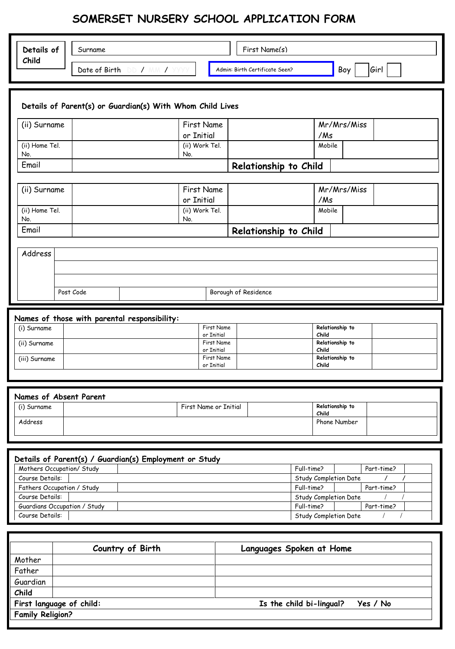# **SOMERSET NURSERY SCHOOL APPLICATION FORM**

| Details of                                      | Surname                                                   |                                        | First Name(s)                  |                                   |            |
|-------------------------------------------------|-----------------------------------------------------------|----------------------------------------|--------------------------------|-----------------------------------|------------|
| Child                                           | Date of Birth DD / MM / YYYY                              |                                        | Admin: Birth Certificate Seen? | Boy                               | Girl       |
|                                                 | Details of Parent(s) or Guardian(s) With Whom Child Lives |                                        |                                |                                   |            |
| (ii) Surname                                    |                                                           | <b>First Name</b><br>or Initial        |                                | Mr/Mrs/Miss<br>/Ms                |            |
| (ii) Home Tel.<br>No.                           |                                                           | (ii) Work Tel.<br>No.                  |                                | Mobile                            |            |
| Email                                           |                                                           |                                        | Relationship to Child          |                                   |            |
| (ii) Surname                                    |                                                           | <b>First Name</b><br>or Initial        |                                | Mr/Mrs/Miss<br>/Ms                |            |
| (ii) Home Tel.<br>No.                           |                                                           | (ii) Work Tel.<br>No.                  |                                | Mobile                            |            |
| Email                                           |                                                           |                                        | Relationship to Child          |                                   |            |
| Address                                         |                                                           |                                        |                                |                                   |            |
|                                                 |                                                           |                                        |                                |                                   |            |
|                                                 | Post Code                                                 |                                        | Borough of Residence           |                                   |            |
| (i) Surname                                     | Names of those with parental responsibility:              | First Name                             |                                | Relationship to                   |            |
| (ii) Surname                                    |                                                           | or Initial<br>First Name<br>or Initial |                                | Child<br>Relationship to<br>Child |            |
| (iii) Surname                                   |                                                           | First Name<br>or Initial               |                                | Relationship to<br>Child          |            |
|                                                 |                                                           |                                        |                                |                                   |            |
| Names of Absent Parent<br>(i) Surname           |                                                           | First Name or Initial                  |                                | Relationship to<br>Child          |            |
| Address                                         |                                                           |                                        |                                | Phone Number                      |            |
|                                                 |                                                           |                                        |                                |                                   |            |
| Mothers Occupation/ Study<br>Course Details:    | Details of Parent(s) / Guardian(s) Employment or Study    |                                        | Full-time?                     | Study Completion Date             | Part-time? |
| Fathers Occupation / Study<br>Course Details:   |                                                           |                                        | Full-time?                     | Study Completion Date             | Part-time? |
| Guardians Occupation / Study<br>Course Details: |                                                           |                                        | Full-time?                     | Study Completion Date             | Part-time? |
|                                                 |                                                           |                                        |                                |                                   |            |
|                                                 | Country of Birth                                          |                                        | Languages Spoken at Home       |                                   |            |

|                         | Country of Birth         | Languages Spoken at Home             |
|-------------------------|--------------------------|--------------------------------------|
| Mother                  |                          |                                      |
| Father                  |                          |                                      |
| Guardian                |                          |                                      |
| Child                   |                          |                                      |
|                         | First language of child: | Is the child bi-lingual?<br>Yes / No |
| <b>Family Religion?</b> |                          |                                      |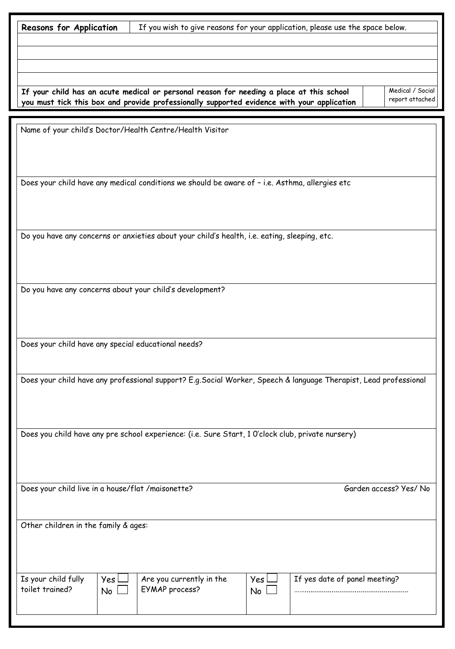l

**Reasons for Application** | If you wish to give reasons for your application, please use the space below.

**If your child has an acute medical or personal reason for needing a place at this school you must tick this box and provide professionally supported evidence with your application**

Medical / Social report attached

Name of your child's Doctor/Health Centre/Health Visitor

Does your child have any medical conditions we should be aware of – i.e. Asthma, allergies etc

Do you have any concerns or anxieties about your child's health, i.e. eating, sleeping, etc.

Do you have any concerns about your child's development?

Does your child have any special educational needs?

Does your child have any professional support? E.g.Social Worker, Speech & language Therapist, Lead professional

Does you child have any pre school experience: (i.e. Sure Start, 1 0'clock club, private nursery)

Does your child live in a house/flat /maisonette? Garden access? Yes/ No

 $Yes \Box$  $No$ 

Other children in the family & ages:

Is your child fully toilet trained?

Are you currently in the EYMAP process?

 $Yes \Box$ No  $\Box$ 

If yes date of panel meeting?

……......................................................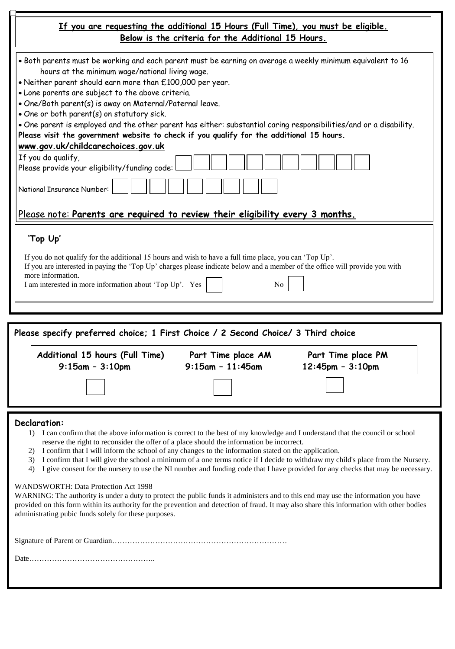| If you are requesting the additional 15 Hours (Full Time), you must be eligible.<br>Below is the criteria for the Additional 15 Hours.                                                                                                                                                                                                   |
|------------------------------------------------------------------------------------------------------------------------------------------------------------------------------------------------------------------------------------------------------------------------------------------------------------------------------------------|
| • Both parents must be working and each parent must be earning on average a weekly minimum equivalent to 16<br>hours at the minimum wage/national living wage.<br>. Neither parent should earn more than £100,000 per year.                                                                                                              |
| . Lone parents are subject to the above criteria.                                                                                                                                                                                                                                                                                        |
| . One/Both parent(s) is away on Maternal/Paternal leave.                                                                                                                                                                                                                                                                                 |
| . One or both parent(s) on statutory sick.                                                                                                                                                                                                                                                                                               |
| . One parent is employed and the other parent has either: substantial caring responsibilities/and or a disability.<br>Please visit the government website to check if you qualify for the additional 15 hours.                                                                                                                           |
| www.gov.uk/childcarechoices.gov.uk                                                                                                                                                                                                                                                                                                       |
| If you do qualify,                                                                                                                                                                                                                                                                                                                       |
| Please provide your eligibility/funding code:                                                                                                                                                                                                                                                                                            |
| National Insurance Number:                                                                                                                                                                                                                                                                                                               |
| Please note: Parents are required to review their eligibility every 3 months.                                                                                                                                                                                                                                                            |
| 'Top Up'                                                                                                                                                                                                                                                                                                                                 |
| If you do not qualify for the additional 15 hours and wish to have a full time place, you can 'Top Up'.<br>If you are interested in paying the 'Top Up' charges please indicate below and a member of the office will provide you with<br>more information.<br>I am interested in more information about 'Top Up'. Yes<br>N <sub>0</sub> |
|                                                                                                                                                                                                                                                                                                                                          |

| Additional 15 hours (Full Time) | Part Time place AM  | Part Time place PM     |
|---------------------------------|---------------------|------------------------|
| $9:15$ am - $3:10$ pm           | $9:15$ am - 11:45am | $12:45$ pm - $3:10$ pm |
|                                 |                     |                        |

#### **Declaration:**

- 1) I can confirm that the above information is correct to the best of my knowledge and I understand that the council or school reserve the right to reconsider the offer of a place should the information be incorrect.
- 2) I confirm that I will inform the school of any changes to the information stated on the application.
- 3) I confirm that I will give the school a minimum of a one terms notice if I decide to withdraw my child's place from the Nursery.
- 4) I give consent for the nursery to use the NI number and funding code that I have provided for any checks that may be necessary.

#### WANDSWORTH: Data Protection Act 1998

WARNING: The authority is under a duty to protect the public funds it administers and to this end may use the information you have provided on this form within its authority for the prevention and detection of fraud. It may also share this information with other bodies administrating pubic funds solely for these purposes.

Signature of Parent or Guardian……………………………………………………………

Date…………………………………………..